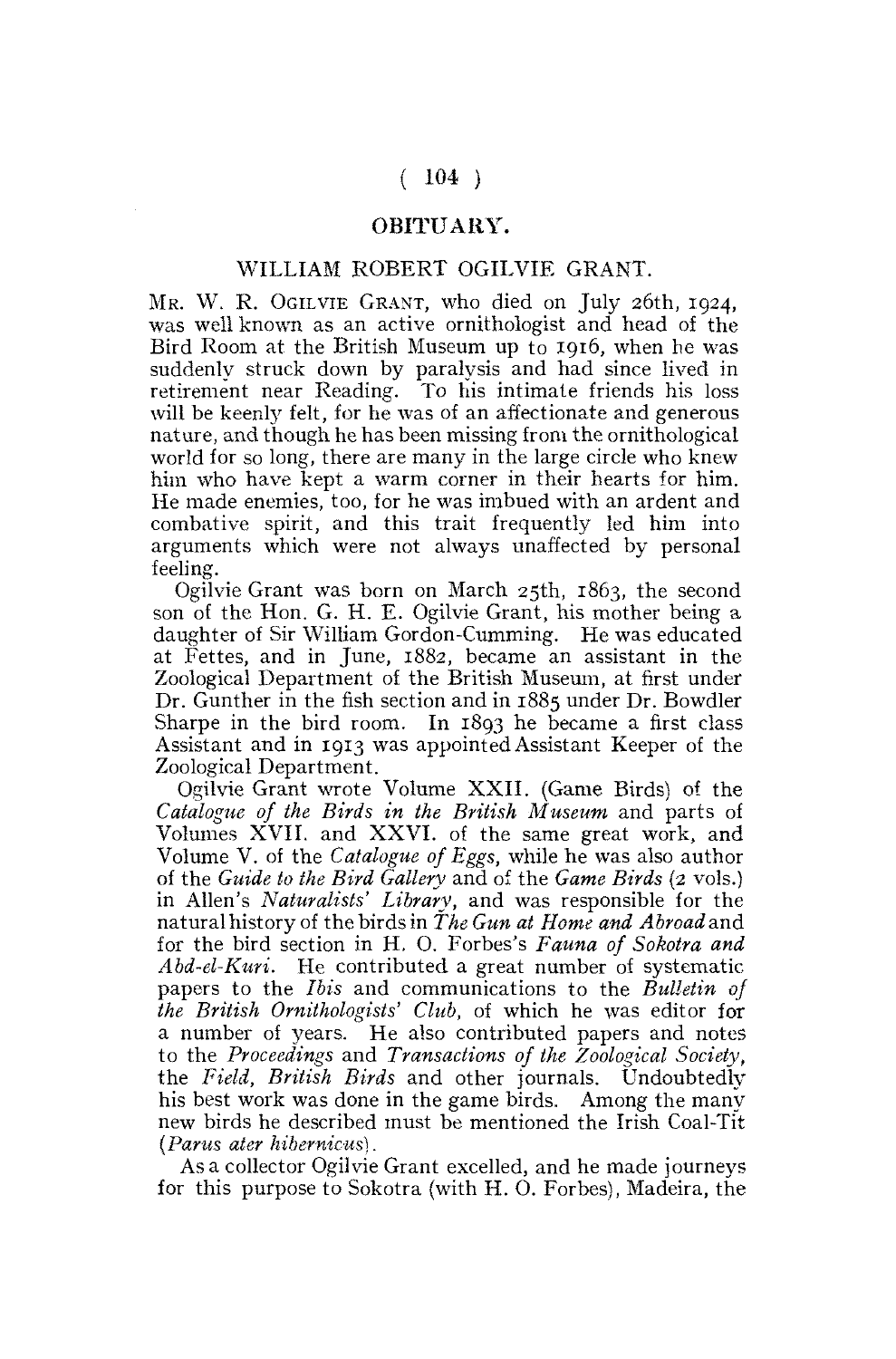## $(104)$

## OBITUARY.

## WILLIAM ROBERT OGILVIE GRANT.

MR. W. R. OGILVIE GRANT, who died on July 26th, 1924. was well known as an active ornithologist and head of the Bird Room at the British Museum up to 1916, when he was suddenly struck down by paralysis and had since lived in retirement near Reading. To his intimate friends his loss will be keenly felt, for he was of an affectionate and generous nature, and though he has been missing from the ornithological world for so long, there are many in the large circle who knew him who have kept a warm corner in their hearts for him. He made enemies, too, for he was imbued with an ardent and combative spirit, and this trait frequently led him into arguments which were not always unaffected by personal feeling.

Ogilvie Grant was born on March 25th, 1863, the second son of the Hon. G. H. E. Ogilvie Grant, his mother being a daughter of Sir William Gordon-Cumming. He was educated at Fettes, and in June, 1882, became an assistant in the Zoological Department of the British Museum, at first under Dr. Gunther in the fish section and in 1885 under Dr. Bowdler Sharpe in the bird room. In 1893 he became a first class Assistant and in 1913 was appointed Assistant Keeper of the Zoological Department.

Ogilvie Grant wrote Volume XXII. (Game Birds) of the *Catalogue of the Birds in the British Museum* and parts of Volumes XVII. and XXVI. of the same great work, and Volume V. of the *Catalogue of Eggs,* while he was also author of the *Guide to the Bird Gallery* and of the *Game Birds* (2 vols.) in Allen's *Naturalists' Library,* and was responsible for the natural history of the birds in *The Gun at Home and Abroad* and for the bird section in H. O. Forbes's *Fauna of Sokotra and Abd-el-Kuri.* He contributed a great number of systematic papers to the *Ibis* and communications to the *Bulletin of the British Ornithologists' Club,* of which he was editor for a number of years. He also contributed papers and notes to the *Proceedings* and *Transactions of the Zoological Society,*  the *Field, British Birds* and other journals. Undoubtedly his best work was done in the game birds. Among the many new birds he described must be mentioned the Irish Coal-Tit *(Parus ater hibernicus).* 

Asa collector Ogilvie Grant excelled, and he made journeys for this purpose to Sokotra (with H. O. Forbes), Madeira, the